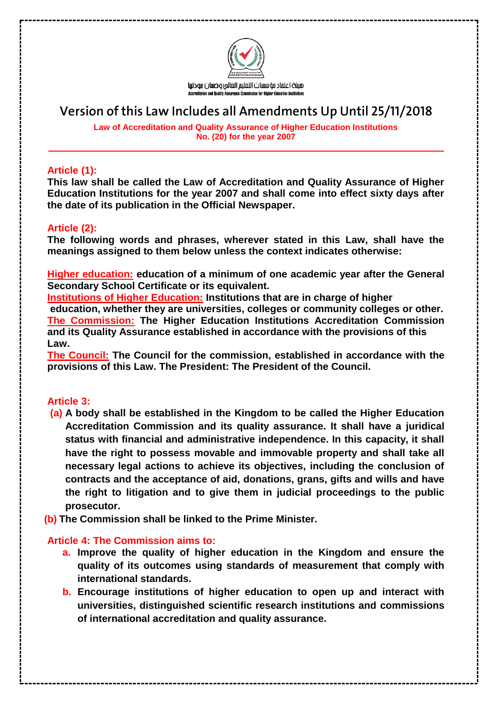

# **Version of this Law Includes all Amendments Up Until 25/11/2018**

**Law of Accreditation and Quality Assurance of Higher Education Institutions No. (20) for the year 2007**

### **Article (1):**

**This law shall be called the Law of Accreditation and Quality Assurance of Higher Education Institutions for the year 2007 and shall come into effect sixty days after the date of its publication in the Official Newspaper.**

# **Article (2):**

**The following words and phrases, wherever stated in this Law, shall have the meanings assigned to them below unless the context indicates otherwise:**

**Higher education: education of a minimum of one academic year after the General Secondary School Certificate or its equivalent.** 

**Institutions of Higher Education: Institutions that are in charge of higher education, whether they are universities, colleges or community colleges or other. The Commission: The Higher Education Institutions Accreditation Commission and its Quality Assurance established in accordance with the provisions of this Law.** 

**The Council: The Council for the commission, established in accordance with the provisions of this Law. The President: The President of the Council.**

### **Article 3:**

- **(a) A body shall be established in the Kingdom to be called the Higher Education Accreditation Commission and its quality assurance. It shall have a juridical status with financial and administrative independence. In this capacity, it shall have the right to possess movable and immovable property and shall take all necessary legal actions to achieve its objectives, including the conclusion of contracts and the acceptance of aid, donations, grans, gifts and wills and have the right to litigation and to give them in judicial proceedings to the public prosecutor.**
- **(b) The Commission shall be linked to the Prime Minister.**

# **Article 4: The Commission aims to:**

- **a. Improve the quality of higher education in the Kingdom and ensure the quality of its outcomes using standards of measurement that comply with international standards.**
- **b. Encourage institutions of higher education to open up and interact with universities, distinguished scientific research institutions and commissions of international accreditation and quality assurance.**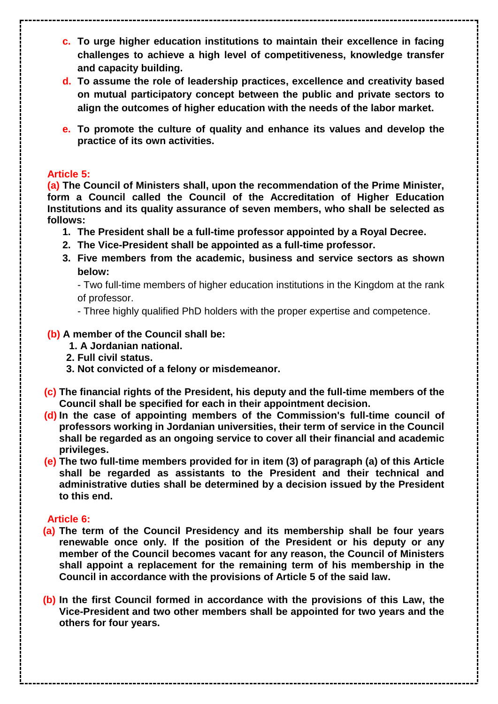- **c. To urge higher education institutions to maintain their excellence in facing challenges to achieve a high level of competitiveness, knowledge transfer and capacity building.**
- **d. To assume the role of leadership practices, excellence and creativity based on mutual participatory concept between the public and private sectors to align the outcomes of higher education with the needs of the labor market.**
- **e. To promote the culture of quality and enhance its values and develop the practice of its own activities.**

# **Article 5:**

**(a) The Council of Ministers shall, upon the recommendation of the Prime Minister, form a Council called the Council of the Accreditation of Higher Education Institutions and its quality assurance of seven members, who shall be selected as follows:** 

- **1. The President shall be a full-time professor appointed by a Royal Decree.**
- **2. The Vice-President shall be appointed as a full-time professor.**
- **3. Five members from the academic, business and service sectors as shown below:**

- Two full-time members of higher education institutions in the Kingdom at the rank of professor.

- Three highly qualified PhD holders with the proper expertise and competence.

# **(b) A member of the Council shall be:**

- **1. A Jordanian national.**
- **2. Full civil status.**
- **3. Not convicted of a felony or misdemeanor.**
- **(c) The financial rights of the President, his deputy and the full-time members of the Council shall be specified for each in their appointment decision.**
- **(d) In the case of appointing members of the Commission's full-time council of professors working in Jordanian universities, their term of service in the Council shall be regarded as an ongoing service to cover all their financial and academic privileges.**
- **(e) The two full-time members provided for in item (3) of paragraph (a) of this Article shall be regarded as assistants to the President and their technical and administrative duties shall be determined by a decision issued by the President to this end.**

### **Article 6:**

- **(a) The term of the Council Presidency and its membership shall be four years renewable once only. If the position of the President or his deputy or any member of the Council becomes vacant for any reason, the Council of Ministers shall appoint a replacement for the remaining term of his membership in the Council in accordance with the provisions of Article 5 of the said law.**
- **(b) In the first Council formed in accordance with the provisions of this Law, the Vice-President and two other members shall be appointed for two years and the others for four years.**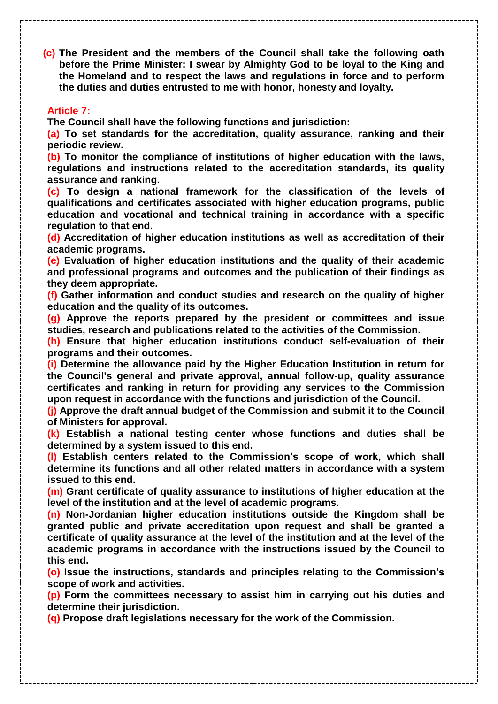**(c) The President and the members of the Council shall take the following oath before the Prime Minister: I swear by Almighty God to be loyal to the King and the Homeland and to respect the laws and regulations in force and to perform the duties and duties entrusted to me with honor, honesty and loyalty.**

### **Article 7:**

**The Council shall have the following functions and jurisdiction:** 

**(a) To set standards for the accreditation, quality assurance, ranking and their periodic review.**

**(b) To monitor the compliance of institutions of higher education with the laws, regulations and instructions related to the accreditation standards, its quality assurance and ranking.**

**(c) To design a national framework for the classification of the levels of qualifications and certificates associated with higher education programs, public education and vocational and technical training in accordance with a specific regulation to that end.**

**(d) Accreditation of higher education institutions as well as accreditation of their academic programs.** 

**(e) Evaluation of higher education institutions and the quality of their academic and professional programs and outcomes and the publication of their findings as they deem appropriate.** 

**(f) Gather information and conduct studies and research on the quality of higher education and the quality of its outcomes.**

**(g) Approve the reports prepared by the president or committees and issue studies, research and publications related to the activities of the Commission.** 

**(h) Ensure that higher education institutions conduct self-evaluation of their programs and their outcomes.** 

**(i) Determine the allowance paid by the Higher Education Institution in return for the Council's general and private approval, annual follow-up, quality assurance certificates and ranking in return for providing any services to the Commission upon request in accordance with the functions and jurisdiction of the Council.** 

**(j) Approve the draft annual budget of the Commission and submit it to the Council of Ministers for approval.**

**(k) Establish a national testing center whose functions and duties shall be determined by a system issued to this end.** 

**(l) Establish centers related to the Commission's scope of work, which shall determine its functions and all other related matters in accordance with a system issued to this end.**

**(m) Grant certificate of quality assurance to institutions of higher education at the level of the institution and at the level of academic programs.** 

**(n) Non-Jordanian higher education institutions outside the Kingdom shall be granted public and private accreditation upon request and shall be granted a certificate of quality assurance at the level of the institution and at the level of the academic programs in accordance with the instructions issued by the Council to this end.**

**(o) Issue the instructions, standards and principles relating to the Commission's scope of work and activities.** 

**(p) Form the committees necessary to assist him in carrying out his duties and determine their jurisdiction.** 

**(q) Propose draft legislations necessary for the work of the Commission.**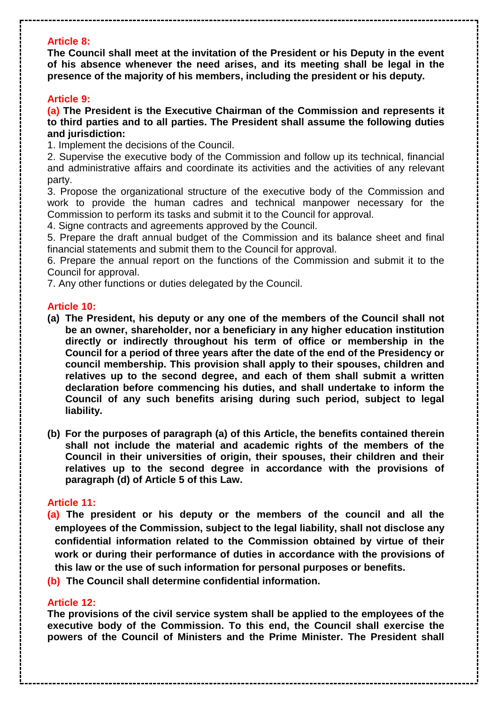# **Article 8:**

**The Council shall meet at the invitation of the President or his Deputy in the event of his absence whenever the need arises, and its meeting shall be legal in the presence of the majority of his members, including the president or his deputy.**

### **Article 9:**

**(a) The President is the Executive Chairman of the Commission and represents it to third parties and to all parties. The President shall assume the following duties and jurisdiction:**

1. Implement the decisions of the Council.

2. Supervise the executive body of the Commission and follow up its technical, financial and administrative affairs and coordinate its activities and the activities of any relevant party.

3. Propose the organizational structure of the executive body of the Commission and work to provide the human cadres and technical manpower necessary for the Commission to perform its tasks and submit it to the Council for approval.

4. Signe contracts and agreements approved by the Council.

5. Prepare the draft annual budget of the Commission and its balance sheet and final financial statements and submit them to the Council for approval.

6. Prepare the annual report on the functions of the Commission and submit it to the Council for approval.

7. Any other functions or duties delegated by the Council.

### **Article 10:**

- **(a) The President, his deputy or any one of the members of the Council shall not be an owner, shareholder, nor a beneficiary in any higher education institution directly or indirectly throughout his term of office or membership in the Council for a period of three years after the date of the end of the Presidency or council membership. This provision shall apply to their spouses, children and relatives up to the second degree, and each of them shall submit a written declaration before commencing his duties, and shall undertake to inform the Council of any such benefits arising during such period, subject to legal liability.**
- **(b) For the purposes of paragraph (a) of this Article, the benefits contained therein shall not include the material and academic rights of the members of the Council in their universities of origin, their spouses, their children and their relatives up to the second degree in accordance with the provisions of paragraph (d) of Article 5 of this Law.**

### **Article 11:**

**(a) The president or his deputy or the members of the council and all the employees of the Commission, subject to the legal liability, shall not disclose any confidential information related to the Commission obtained by virtue of their work or during their performance of duties in accordance with the provisions of this law or the use of such information for personal purposes or benefits.**

**(b) The Council shall determine confidential information.**

#### **Article 12:**

**The provisions of the civil service system shall be applied to the employees of the executive body of the Commission. To this end, the Council shall exercise the powers of the Council of Ministers and the Prime Minister. The President shall**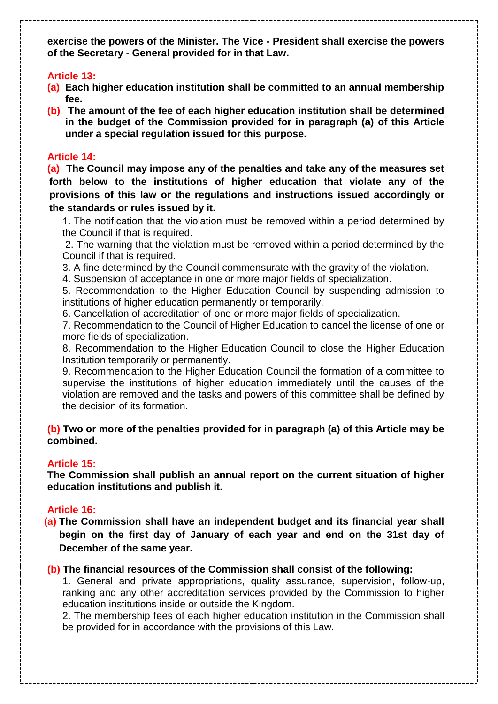**exercise the powers of the Minister. The Vice - President shall exercise the powers of the Secretary - General provided for in that Law.**

# **Article 13:**

- **(a) Each higher education institution shall be committed to an annual membership fee.**
- **(b) The amount of the fee of each higher education institution shall be determined in the budget of the Commission provided for in paragraph (a) of this Article under a special regulation issued for this purpose.**

# **Article 14:**

**(a) The Council may impose any of the penalties and take any of the measures set forth below to the institutions of higher education that violate any of the provisions of this law or the regulations and instructions issued accordingly or the standards or rules issued by it.** 

1. The notification that the violation must be removed within a period determined by the Council if that is required.

2. The warning that the violation must be removed within a period determined by the Council if that is required.

3. A fine determined by the Council commensurate with the gravity of the violation.

4. Suspension of acceptance in one or more major fields of specialization.

5. Recommendation to the Higher Education Council by suspending admission to institutions of higher education permanently or temporarily.

6. Cancellation of accreditation of one or more major fields of specialization.

7. Recommendation to the Council of Higher Education to cancel the license of one or more fields of specialization.

8. Recommendation to the Higher Education Council to close the Higher Education Institution temporarily or permanently.

9. Recommendation to the Higher Education Council the formation of a committee to supervise the institutions of higher education immediately until the causes of the violation are removed and the tasks and powers of this committee shall be defined by the decision of its formation.

# **(b) Two or more of the penalties provided for in paragraph (a) of this Article may be combined.**

# **Article 15:**

**The Commission shall publish an annual report on the current situation of higher education institutions and publish it.**

# **Article 16:**

**(a) The Commission shall have an independent budget and its financial year shall begin on the first day of January of each year and end on the 31st day of December of the same year.** 

# **(b) The financial resources of the Commission shall consist of the following:**

1. General and private appropriations, quality assurance, supervision, follow-up, ranking and any other accreditation services provided by the Commission to higher education institutions inside or outside the Kingdom.

2. The membership fees of each higher education institution in the Commission shall be provided for in accordance with the provisions of this Law.